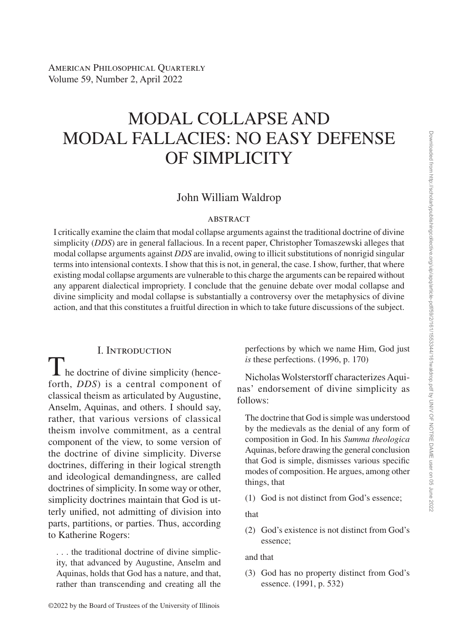# MODAL COLLAPSE AND MODAL FALLACIES: NO EASY DEFENSE OF SIMPLICITY

# John William Waldrop

#### **ABSTRACT**

I critically examine the claim that modal collapse arguments against the traditional doctrine of divine simplicity (*DDS*) are in general fallacious. In a recent paper, Christopher Tomaszewski alleges that modal collapse arguments against *DDS* are invalid, owing to illicit substitutions of nonrigid singular terms into intensional contexts. I show that this is not, in general, the case. I show, further, that where existing modal collapse arguments are vulnerable to this charge the arguments can be repaired without any apparent dialectical impropriety. I conclude that the genuine debate over modal collapse and divine simplicity and modal collapse is substantially a controversy over the metaphysics of divine action, and that this constitutes a fruitful direction in which to take future discussions of the subject.

#### I. Introduction

 $\mathbf{\Gamma}$  he doctrine of divine simplicity (henceforth, *DDS*) is a central component of classical theism as articulated by Augustine, Anselm, Aquinas, and others. I should say, rather, that various versions of classical theism involve commitment, as a central component of the view, to some version of the doctrine of divine simplicity. Diverse doctrines, differing in their logical strength and ideological demandingness, are called doctrines of simplicity. In some way or other, simplicity doctrines maintain that God is utterly unified, not admitting of division into parts, partitions, or parties. Thus, according to Katherine Rogers:

. . . the traditional doctrine of divine simplicity, that advanced by Augustine, Anselm and Aquinas, holds that God has a nature, and that, rather than transcending and creating all the

©2022 by the Board of Trustees of the University of Illinois

perfections by which we name Him, God just *is* these perfections. (1996, p. 170)

Nicholas Wolsterstorff characterizes Aquinas' endorsement of divine simplicity as follows:

The doctrine that God is simple was understood by the medievals as the denial of any form of composition in God. In his *Summa theologica* Aquinas, before drawing the general conclusion that God is simple, dismisses various specific modes of composition. He argues, among other things, that

(1) God is not distinct from God's essence;

that

(2) God's existence is not distinct from God's essence;

and that

(3) God has no property distinct from God's essence. (1991, p. 532)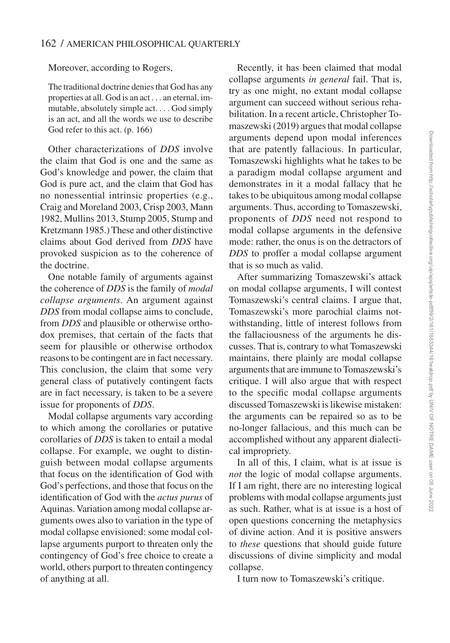Moreover, according to Rogers,

The traditional doctrine denies that God has any properties at all. God is an act . . . an eternal, immutable, absolutely simple act. . . . God simply is an act, and all the words we use to describe God refer to this act. (p. 166)

Other characterizations of *DDS* involve the claim that God is one and the same as God's knowledge and power, the claim that God is pure act, and the claim that God has no nonessential intrinsic properties (e.g., Craig and Moreland 2003, Crisp 2003, Mann 1982, Mullins 2013, Stump 2005, Stump and Kretzmann 1985.) These and other distinctive claims about God derived from *DDS* have provoked suspicion as to the coherence of the doctrine.

One notable family of arguments against the coherence of *DDS* is the family of *modal collapse arguments*. An argument against *DDS* from modal collapse aims to conclude, from *DDS* and plausible or otherwise orthodox premises, that certain of the facts that seem for plausible or otherwise orthodox reasons to be contingent are in fact necessary. This conclusion, the claim that some very general class of putatively contingent facts are in fact necessary, is taken to be a severe issue for proponents of *DDS*.

Modal collapse arguments vary according to which among the corollaries or putative corollaries of *DDS* is taken to entail a modal collapse. For example, we ought to distinguish between modal collapse arguments that focus on the identification of God with God's perfections, and those that focus on the identification of God with the *actus purus* of Aquinas. Variation among modal collapse arguments owes also to variation in the type of modal collapse envisioned: some modal collapse arguments purport to threaten only the contingency of God's free choice to create a world, others purport to threaten contingency of anything at all.

Recently, it has been claimed that modal collapse arguments *in general* fail. That is, try as one might, no extant modal collapse argument can succeed without serious rehabilitation. In a recent article, Christopher Tomaszewski (2019) argues that modal collapse arguments depend upon modal inferences that are patently fallacious. In particular, Tomaszewski highlights what he takes to be a paradigm modal collapse argument and demonstrates in it a modal fallacy that he takes to be ubiquitous among modal collapse arguments. Thus, according to Tomaszewski, proponents of *DDS* need not respond to modal collapse arguments in the defensive mode: rather, the onus is on the detractors of *DDS* to proffer a modal collapse argument that is so much as valid.

After summarizing Tomaszewski's attack on modal collapse arguments, I will contest Tomaszewski's central claims. I argue that, Tomaszewski's more parochial claims notwithstanding, little of interest follows from the fallaciousness of the arguments he discusses. That is, contrary to what Tomaszewski maintains, there plainly are modal collapse arguments that are immune to Tomaszewski's critique. I will also argue that with respect to the specific modal collapse arguments discussed Tomaszewski is likewise mistaken: the arguments can be repaired so as to be no-longer fallacious, and this much can be accomplished without any apparent dialectical impropriety.

In all of this, I claim, what is at issue is *not* the logic of modal collapse arguments. If I am right, there are no interesting logical problems with modal collapse arguments just as such. Rather, what is at issue is a host of open questions concerning the metaphysics of divine action. And it is positive answers to *these* questions that should guide future discussions of divine simplicity and modal collapse.

I turn now to Tomaszewski's critique.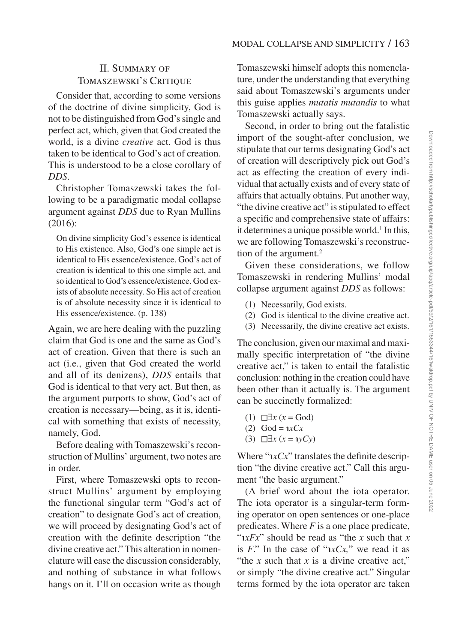# II. Summary of TOMASZEWSKI'S CRITIQUE

Consider that, according to some versions of the doctrine of divine simplicity, God is not to be distinguished from God's single and perfect act, which, given that God created the world, is a divine *creative* act. God is thus taken to be identical to God's act of creation. This is understood to be a close corollary of *DDS*.

Christopher Tomaszewski takes the following to be a paradigmatic modal collapse argument against *DDS* due to Ryan Mullins (2016):

On divine simplicity God's essence is identical to His existence. Also, God's one simple act is identical to His essence/existence. God's act of creation is identical to this one simple act, and so identical to God's essence/existence. God exists of absolute necessity. So His act of creation is of absolute necessity since it is identical to His essence/existence. (p. 138)

Again, we are here dealing with the puzzling claim that God is one and the same as God's act of creation. Given that there is such an act (i.e., given that God created the world and all of its denizens), *DDS* entails that God is identical to that very act. But then, as the argument purports to show, God's act of creation is necessary—being, as it is, identical with something that exists of necessity, namely, God.

Before dealing with Tomaszewski's reconstruction of Mullins' argument, two notes are in order.

First, where Tomaszewski opts to reconstruct Mullins' argument by employing the functional singular term "God's act of creation" to designate God's act of creation, we will proceed by designating God's act of creation with the definite description "the divine creative act." This alteration in nomenclature will ease the discussion considerably, and nothing of substance in what follows hangs on it. I'll on occasion write as though

Tomaszewski himself adopts this nomenclature, under the understanding that everything said about Tomaszewski's arguments under this guise applies *mutatis mutandis* to what Tomaszewski actually says.

Second, in order to bring out the fatalistic import of the sought-after conclusion, we stipulate that our terms designating God's act of creation will descriptively pick out God's act as effecting the creation of every individual that actually exists and of every state of affairs that actually obtains. Put another way, "the divine creative act" is stipulated to effect a specific and comprehensive state of affairs: it determines a unique possible world.<sup>1</sup> In this, we are following Tomaszewski's reconstruction of the argument.<sup>2</sup>

Given these considerations, we follow Tomaszewski in rendering Mullins' modal collapse argument against *DDS* as follows:

- (1) Necessarily, God exists.
- (2) God is identical to the divine creative act.
- (3) Necessarily, the divine creative act exists.

The conclusion, given our maximal and maximally specific interpretation of "the divine creative act," is taken to entail the fatalistic conclusion: nothing in the creation could have been other than it actually is. The argument can be succinctly formalized:

- (1) ◻∃*x* (*x* = God)
- $(2)$  God =  $\alpha Cx$
- (3) ◻∃*x* (*x* = ℩*yCy*)

Where "℩*xCx*" translates the definite description "the divine creative act." Call this argument "the basic argument."

(A brief word about the iota operator. The iota operator is a singular-term forming operator on open sentences or one-place predicates. Where *F* is a one place predicate, " $xFx$ " should be read as "the *x* such that *x* is  $F$ ." In the case of " $\alpha$ *xCx*," we read it as "the *x* such that *x* is a divine creative act," or simply "the divine creative act." Singular terms formed by the iota operator are taken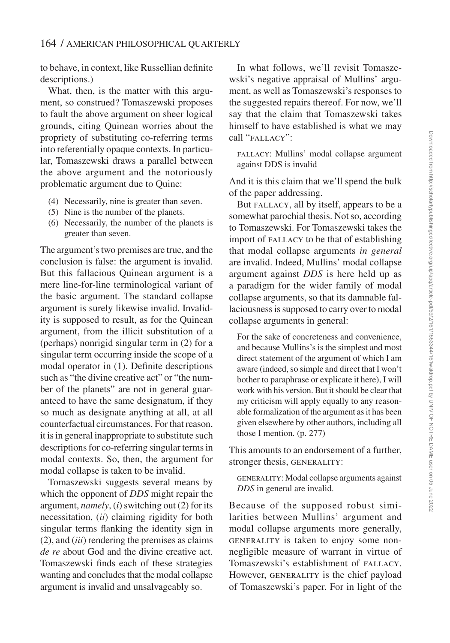to behave, in context, like Russellian definite descriptions.)

What, then, is the matter with this argument, so construed? Tomaszewski proposes to fault the above argument on sheer logical grounds, citing Quinean worries about the propriety of substituting co-referring terms into referentially opaque contexts. In particular, Tomaszewski draws a parallel between the above argument and the notoriously problematic argument due to Quine:

- (4) Necessarily, nine is greater than seven.
- (5) Nine is the number of the planets.
- (6) Necessarily, the number of the planets is greater than seven.

The argument's two premises are true, and the conclusion is false: the argument is invalid. But this fallacious Quinean argument is a mere line-for-line terminological variant of the basic argument. The standard collapse argument is surely likewise invalid. Invalidity is supposed to result, as for the Quinean argument, from the illicit substitution of a (perhaps) nonrigid singular term in (2) for a singular term occurring inside the scope of a modal operator in (1). Definite descriptions such as "the divine creative act" or "the number of the planets" are not in general guaranteed to have the same designatum, if they so much as designate anything at all, at all counterfactual circumstances. For that reason, it is in general inappropriate to substitute such descriptions for co-referring singular terms in modal contexts. So, then, the argument for modal collapse is taken to be invalid.

Tomaszewski suggests several means by which the opponent of *DDS* might repair the argument, *namely*, (*i*) switching out (2) for its necessitation, (*ii*) claiming rigidity for both singular terms flanking the identity sign in (2), and (*iii*) rendering the premises as claims *de re* about God and the divine creative act. Tomaszewski finds each of these strategies wanting and concludes that the modal collapse argument is invalid and unsalvageably so.

In what follows, we'll revisit Tomaszewski's negative appraisal of Mullins' argument, as well as Tomaszewski's responses to the suggested repairs thereof. For now, we'll say that the claim that Tomaszewski takes himself to have established is what we may call "FALLACY":

FALLACY: Mullins' modal collapse argument against DDS is invalid

And it is this claim that we'll spend the bulk of the paper addressing.

But FALLACY, all by itself, appears to be a somewhat parochial thesis. Not so, according to Tomaszewski. For Tomaszewski takes the import of FALLACY to be that of establishing that modal collapse arguments *in general* are invalid. Indeed, Mullins' modal collapse argument against *DDS* is here held up as a paradigm for the wider family of modal collapse arguments, so that its damnable fallaciousness is supposed to carry over to modal collapse arguments in general:

For the sake of concreteness and convenience, and because Mullins's is the simplest and most direct statement of the argument of which I am aware (indeed, so simple and direct that I won't bother to paraphrase or explicate it here), I will work with his version. But it should be clear that my criticism will apply equally to any reasonable formalization of the argument as it has been given elsewhere by other authors, including all those I mention. (p. 277)

This amounts to an endorsement of a further, stronger thesis, GENERALITY:

GENERALITY: Modal collapse arguments against *DDS* in general are invalid.

Because of the supposed robust similarities between Mullins' argument and modal collapse arguments more generally, GENERALITY is taken to enjoy some nonnegligible measure of warrant in virtue of Tomaszewski's establishment of FALLACY. However, GENERALITY is the chief payload of Tomaszewski's paper. For in light of the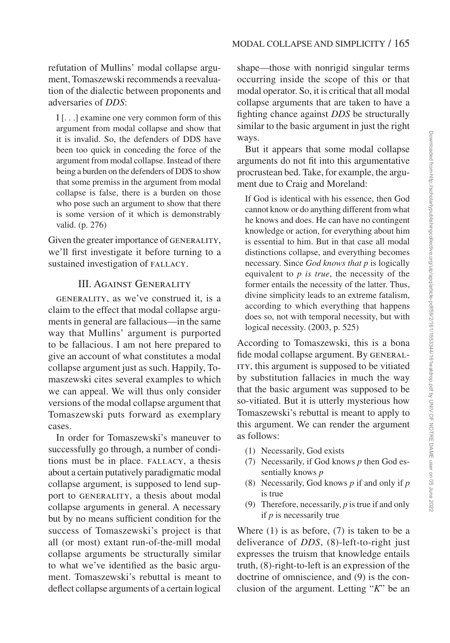refutation of Mullins' modal collapse argument, Tomaszewski recommends a reevaluation of the dialectic between proponents and adversaries of *DDS*:

I [. . .] examine one very common form of this argument from modal collapse and show that it is invalid. So, the defenders of DDS have been too quick in conceding the force of the argument from modal collapse. Instead of there being a burden on the defenders of DDS to show that some premiss in the argument from modal collapse is false, there is a burden on those who pose such an argument to show that there is some version of it which is demonstrably valid. (p. 276)

Given the greater importance of GENERALITY, we'll first investigate it before turning to a sustained investigation of FALLACY.

### III. Against Generality

GENERALITY, as we've construed it, is a claim to the effect that modal collapse arguments in general are fallacious—in the same way that Mullins' argument is purported to be fallacious. I am not here prepared to give an account of what constitutes a modal collapse argument just as such. Happily, Tomaszewski cites several examples to which we can appeal. We will thus only consider versions of the modal collapse argument that Tomaszewski puts forward as exemplary cases.

In order for Tomaszewski's maneuver to successfully go through, a number of conditions must be in place. FALLACY, a thesis about a certain putatively paradigmatic modal collapse argument, is supposed to lend support to GENERALITY, a thesis about modal collapse arguments in general. A necessary but by no means sufficient condition for the success of Tomaszewski's project is that all (or most) extant run-of-the-mill modal collapse arguments be structurally similar to what we've identified as the basic argument. Tomaszewski's rebuttal is meant to deflect collapse arguments of a certain logical shape—those with nonrigid singular terms occurring inside the scope of this or that modal operator. So, it is critical that all modal collapse arguments that are taken to have a fighting chance against *DDS* be structurally similar to the basic argument in just the right ways.

But it appears that some modal collapse arguments do not fit into this argumentative procrustean bed. Take, for example, the argument due to Craig and Moreland:

If God is identical with his essence, then God cannot know or do anything different from what he knows and does. He can have no contingent knowledge or action, for everything about him is essential to him. But in that case all modal distinctions collapse, and everything becomes necessary. Since *God knows that p* is logically equivalent to *p is true*, the necessity of the former entails the necessity of the latter. Thus, divine simplicity leads to an extreme fatalism, according to which everything that happens does so, not with temporal necessity, but with logical necessity. (2003, p. 525)

According to Tomaszewski, this is a bona fide modal collapse argument. By GENERAL-ITY, this argument is supposed to be vitiated by substitution fallacies in much the way that the basic argument was supposed to be so-vitiated. But it is utterly mysterious how Tomaszewski's rebuttal is meant to apply to this argument. We can render the argument as follows:

- (1) Necessarily, God exists
- (7) Necessarily, if God knows *p* then God essentially knows *p*
- (8) Necessarily, God knows *p* if and only if *p* is true
- (9) Therefore, necessarily, *p* is true if and only if *p* is necessarily true

Where  $(1)$  is as before,  $(7)$  is taken to be a deliverance of *DDS*, (8)-left-to-right just expresses the truism that knowledge entails truth, (8)-right-to-left is an expression of the doctrine of omniscience, and (9) is the conclusion of the argument. Letting "*K*" be an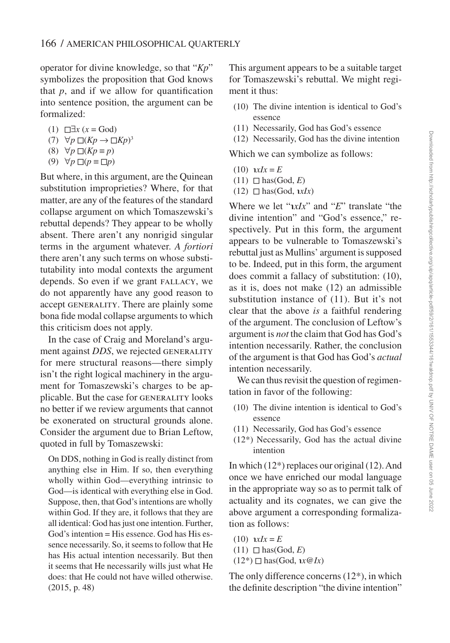operator for divine knowledge, so that "*Kp*" symbolizes the proposition that God knows that  $p$ , and if we allow for quantification into sentence position, the argument can be formalized:

- (1)  $□∃x (x = God)$
- (7)  $\forall p \Box (Kp \rightarrow \Box Kp)^3$

$$
(8) \quad \forall p \; \Box(Kp \equiv p)
$$

 $(9) \forall p \Box (p \equiv \Box p)$ 

But where, in this argument, are the Quinean substitution improprieties? Where, for that matter, are any of the features of the standard collapse argument on which Tomaszewski's rebuttal depends? They appear to be wholly absent. There aren't any nonrigid singular terms in the argument whatever. *A fortiori* there aren't any such terms on whose substitutability into modal contexts the argument depends. So even if we grant FALLACY, we do not apparently have any good reason to accept GENERALITY. There are plainly some bona fide modal collapse arguments to which this criticism does not apply.

In the case of Craig and Moreland's argument against *DDS*, we rejected GENERALITY for mere structural reasons—there simply isn't the right logical machinery in the argument for Tomaszewski's charges to be applicable. But the case for GENERALITY looks no better if we review arguments that cannot be exonerated on structural grounds alone. Consider the argument due to Brian Leftow, quoted in full by Tomaszewski:

On DDS, nothing in God is really distinct from anything else in Him. If so, then everything wholly within God—everything intrinsic to God—is identical with everything else in God. Suppose, then, that God's intentions are wholly within God. If they are, it follows that they are all identical: God has just one intention. Further,  $God's intention = His essence. God has His es$ sence necessarily. So, it seems to follow that He has His actual intention necessarily. But then it seems that He necessarily wills just what He does: that He could not have willed otherwise. (2015, p. 48)

This argument appears to be a suitable target for Tomaszewski's rebuttal. We might regiment it thus:

- (10) The divine intention is identical to God's essence
- (11) Necessarily, God has God's essence
- (12) Necessarily, God has the divine intention

Which we can symbolize as follows:

- $(10)$   $\mathbf{r}x\mathbf{I}x = E$
- $(11)$   $\Box$  has(God, E)
- $(12)$   $\Box$  has  $(\text{God}, \textit{1xIx})$

Where we let " $x/x$ " and "*E*" translate "the divine intention" and "God's essence," respectively. Put in this form, the argument appears to be vulnerable to Tomaszewski's rebuttal just as Mullins' argument is supposed to be. Indeed, put in this form, the argument does commit a fallacy of substitution: (10), as it is, does not make (12) an admissible substitution instance of (11). But it's not clear that the above *is* a faithful rendering of the argument. The conclusion of Leftow's argument is *not* the claim that God has God's intention necessarily. Rather, the conclusion of the argument is that God has God's *actual* intention necessarily.

We can thus revisit the question of regimentation in favor of the following:

- (10) The divine intention is identical to God's essence
- (11) Necessarily, God has God's essence
- (12\*) Necessarily, God has the actual divine intention

In which (12\*) replaces our original (12). And once we have enriched our modal language in the appropriate way so as to permit talk of actuality and its cognates, we can give the above argument a corresponding formalization as follows:

 $(10)$   $\mathbf{r}x\mathbf{I}x = E$  $(11)$   $\Box$  has(God, *E*)  $(12^*)$   $\Box$  has (God,  $\iota x \mathcal{Q} Ix$ )

The only difference concerns (12\*), in which the definite description "the divine intention"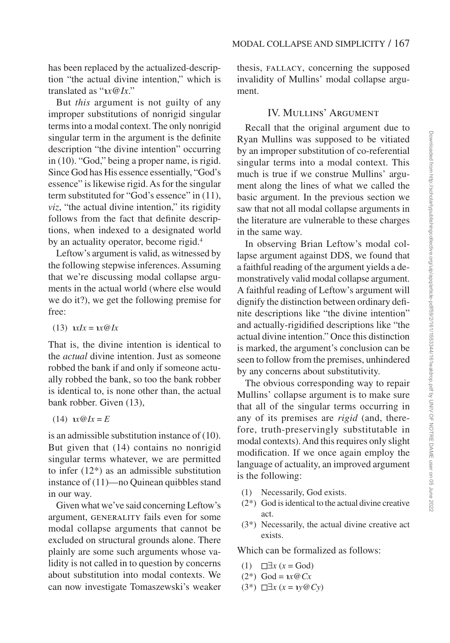has been replaced by the actualized-description "the actual divine intention," which is translated as "℩*x@Ix*."

But *this* argument is not guilty of any improper substitutions of nonrigid singular terms into a modal context. The only nonrigid singular term in the argument is the definite description "the divine intention" occurring in (10). "God," being a proper name, is rigid. Since God has His essence essentially, "God's essence" is likewise rigid. As for the singular term substituted for "God's essence" in (11), *viz*, "the actual divine intention," its rigidity follows from the fact that definite descriptions, when indexed to a designated world by an actuality operator, become rigid.<sup>4</sup>

Leftow's argument is valid, as witnessed by the following stepwise inferences. Assuming that we're discussing modal collapse arguments in the actual world (where else would we do it?), we get the following premise for free:

 $(13)$   $\lambda x = \lambda x \omega Ix$ 

That is, the divine intention is identical to the *actual* divine intention. Just as someone robbed the bank if and only if someone actually robbed the bank, so too the bank robber is identical to, is none other than, the actual bank robber. Given (13),

 $(14)$   $\alpha Q/x = E$ 

is an admissible substitution instance of (10). But given that (14) contains no nonrigid singular terms whatever, we are permitted to infer (12\*) as an admissible substitution instance of (11)—no Quinean quibbles stand in our way.

Given what we've said concerning Leftow's argument, GENERALITY fails even for some modal collapse arguments that cannot be excluded on structural grounds alone. There plainly are some such arguments whose validity is not called in to question by concerns about substitution into modal contexts. We can now investigate Tomaszewski's weaker thesis, FALLACY, concerning the supposed invalidity of Mullins' modal collapse argument.

### IV. Mullins' Argument

Recall that the original argument due to Ryan Mullins was supposed to be vitiated by an improper substitution of co-referential singular terms into a modal context. This much is true if we construe Mullins' argument along the lines of what we called the basic argument. In the previous section we saw that not all modal collapse arguments in the literature are vulnerable to these charges in the same way.

In observing Brian Leftow's modal collapse argument against DDS, we found that a faithful reading of the argument yields a demonstratively valid modal collapse argument. A faithful reading of Leftow's argument will dignify the distinction between ordinary definite descriptions like "the divine intention" and actually-rigidified descriptions like "the actual divine intention." Once this distinction is marked, the argument's conclusion can be seen to follow from the premises, unhindered by any concerns about substitutivity.

The obvious corresponding way to repair Mullins' collapse argument is to make sure that all of the singular terms occurring in any of its premises are *rigid* (and, therefore, truth-preservingly substitutable in modal contexts). And this requires only slight modification. If we once again employ the language of actuality, an improved argument is the following:

- (1) Necessarily, God exists.
- (2\*) God is identical to the actual divine creative act.
- (3\*) Necessarily, the actual divine creative act exists.

Which can be formalized as follows:

- (1) ◻∃*x* (*x* = God)
- $(2^*)$  God =  $\iota x \mathcal{Q} C_x$
- (3\*) ◻∃*x* (*x* = ℩*y@Cy*)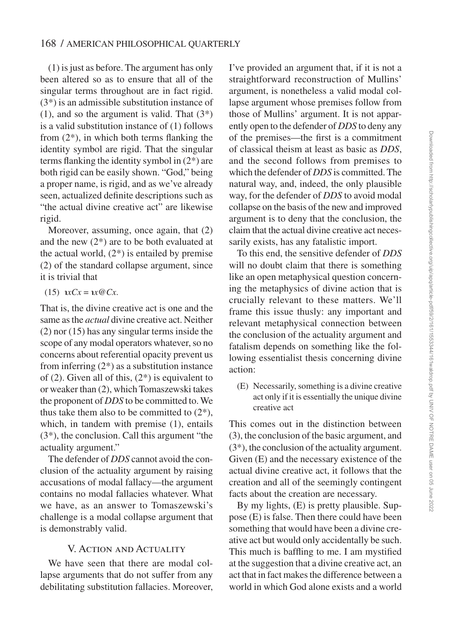#### 168 / AMERICAN PHILOSOPHICAL QUARTERLY

(1) is just as before. The argument has only been altered so as to ensure that all of the singular terms throughout are in fact rigid. (3\*) is an admissible substitution instance of  $(1)$ , and so the argument is valid. That  $(3^*)$ is a valid substitution instance of (1) follows from (2\*), in which both terms flanking the identity symbol are rigid. That the singular terms flanking the identity symbol in (2\*) are both rigid can be easily shown. "God," being a proper name, is rigid, and as we've already seen, actualized definite descriptions such as "the actual divine creative act" are likewise rigid.

Moreover, assuming, once again, that (2) and the new  $(2^*)$  are to be both evaluated at the actual world,  $(2^*)$  is entailed by premise (2) of the standard collapse argument, since it is trivial that

$$
(15) xCx = x@Cx.
$$

That is, the divine creative act is one and the same as the *actual* divine creative act. Neither (2) nor (15) has any singular terms inside the scope of any modal operators whatever, so no concerns about referential opacity prevent us from inferring  $(2^*)$  as a substitution instance of (2). Given all of this, (2\*) is equivalent to or weaker than (2), which Tomaszewski takes the proponent of *DDS* to be committed to. We thus take them also to be committed to  $(2^*)$ , which, in tandem with premise (1), entails (3\*), the conclusion. Call this argument "the actuality argument."

The defender of *DDS* cannot avoid the conclusion of the actuality argument by raising accusations of modal fallacy—the argument contains no modal fallacies whatever. What we have, as an answer to Tomaszewski's challenge is a modal collapse argument that is demonstrably valid.

#### V. Action and Actuality

We have seen that there are modal collapse arguments that do not suffer from any debilitating substitution fallacies. Moreover,

I've provided an argument that, if it is not a straightforward reconstruction of Mullins' argument, is nonetheless a valid modal collapse argument whose premises follow from those of Mullins' argument. It is not apparently open to the defender of *DDS* to deny any of the premises—the first is a commitment of classical theism at least as basic as *DDS*, and the second follows from premises to which the defender of *DDS* is committed. The natural way, and, indeed, the only plausible way, for the defender of *DDS* to avoid modal collapse on the basis of the new and improved argument is to deny that the conclusion, the claim that the actual divine creative act necessarily exists, has any fatalistic import.

To this end, the sensitive defender of *DDS* will no doubt claim that there is something like an open metaphysical question concerning the metaphysics of divine action that is crucially relevant to these matters. We'll frame this issue thusly: any important and relevant metaphysical connection between the conclusion of the actuality argument and fatalism depends on something like the following essentialist thesis concerning divine action:

(E) Necessarily, something is a divine creative act only if it is essentially the unique divine creative act

This comes out in the distinction between (3), the conclusion of the basic argument, and (3\*), the conclusion of the actuality argument. Given (E) and the necessary existence of the actual divine creative act, it follows that the creation and all of the seemingly contingent facts about the creation are necessary.

By my lights, (E) is pretty plausible. Suppose (E) is false. Then there could have been something that would have been a divine creative act but would only accidentally be such. This much is baffling to me. I am mystified at the suggestion that a divine creative act, an act that in fact makes the difference between a world in which God alone exists and a world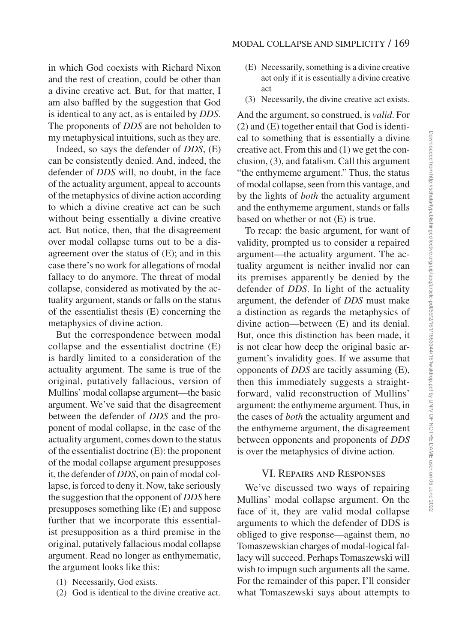in which God coexists with Richard Nixon and the rest of creation, could be other than a divine creative act. But, for that matter, I am also baffled by the suggestion that God is identical to any act, as is entailed by *DDS*. The proponents of *DDS* are not beholden to my metaphysical intuitions, such as they are.

Indeed, so says the defender of *DDS*, (E) can be consistently denied. And, indeed, the defender of *DDS* will, no doubt, in the face of the actuality argument, appeal to accounts of the metaphysics of divine action according to which a divine creative act can be such without being essentially a divine creative act. But notice, then, that the disagreement over modal collapse turns out to be a disagreement over the status of (E); and in this case there's no work for allegations of modal fallacy to do anymore. The threat of modal collapse, considered as motivated by the actuality argument, stands or falls on the status of the essentialist thesis (E) concerning the metaphysics of divine action.

But the correspondence between modal collapse and the essentialist doctrine (E) is hardly limited to a consideration of the actuality argument. The same is true of the original, putatively fallacious, version of Mullins' modal collapse argument—the basic argument. We've said that the disagreement between the defender of *DDS* and the proponent of modal collapse, in the case of the actuality argument, comes down to the status of the essentialist doctrine (E): the proponent of the modal collapse argument presupposes it, the defender of *DDS*, on pain of modal collapse, is forced to deny it. Now, take seriously the suggestion that the opponent of *DDS* here presupposes something like (E) and suppose further that we incorporate this essentialist presupposition as a third premise in the original, putatively fallacious modal collapse argument. Read no longer as enthymematic, the argument looks like this:

- (1) Necessarily, God exists.
- (2) God is identical to the divine creative act.
- (E) Necessarily, something is a divine creative act only if it is essentially a divine creative act
- (3) Necessarily, the divine creative act exists.

And the argument, so construed, is *valid*. For (2) and (E) together entail that God is identical to something that is essentially a divine creative act. From this and (1) we get the conclusion, (3), and fatalism. Call this argument "the enthymeme argument." Thus, the status of modal collapse, seen from this vantage, and by the lights of *both* the actuality argument and the enthymeme argument, stands or falls based on whether or not (E) is true.

To recap: the basic argument, for want of validity, prompted us to consider a repaired argument—the actuality argument. The actuality argument is neither invalid nor can its premises apparently be denied by the defender of *DDS*. In light of the actuality argument, the defender of *DDS* must make a distinction as regards the metaphysics of divine action—between (E) and its denial. But, once this distinction has been made, it is not clear how deep the original basic argument's invalidity goes. If we assume that opponents of *DDS* are tacitly assuming (E), then this immediately suggests a straightforward, valid reconstruction of Mullins' argument: the enthymeme argument. Thus, in the cases of *both* the actuality argument and the enthymeme argument, the disagreement between opponents and proponents of *DDS* is over the metaphysics of divine action.

### VI. Repairs and Responses

We've discussed two ways of repairing Mullins' modal collapse argument. On the face of it, they are valid modal collapse arguments to which the defender of DDS is obliged to give response—against them, no Tomaszewskian charges of modal-logical fallacy will succeed. Perhaps Tomaszewski will wish to impugn such arguments all the same. For the remainder of this paper, I'll consider what Tomaszewski says about attempts to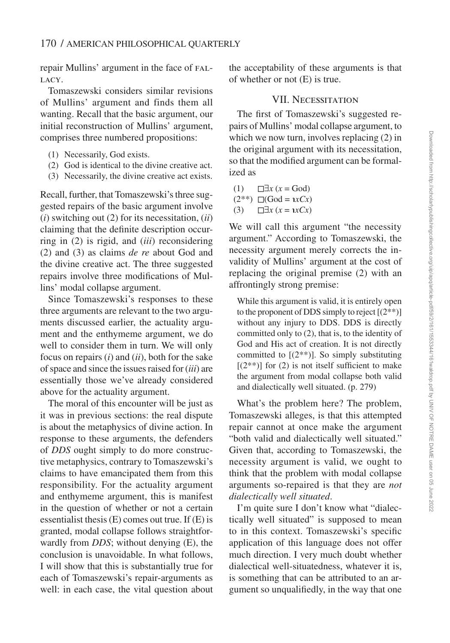repair Mullins' argument in the face of FAL-LACY.

Tomaszewski considers similar revisions of Mullins' argument and finds them all wanting. Recall that the basic argument, our initial reconstruction of Mullins' argument, comprises three numbered propositions:

- (1) Necessarily, God exists.
- (2) God is identical to the divine creative act.
- (3) Necessarily, the divine creative act exists.

Recall, further, that Tomaszewski's three suggested repairs of the basic argument involve (*i*) switching out (2) for its necessitation, (*ii*) claiming that the definite description occurring in (2) is rigid, and (*iii*) reconsidering (2) and (3) as claims *de re* about God and the divine creative act. The three suggested repairs involve three modifications of Mullins' modal collapse argument.

Since Tomaszewski's responses to these three arguments are relevant to the two arguments discussed earlier, the actuality argument and the enthymeme argument, we do well to consider them in turn. We will only focus on repairs (*i*) and (*ii*), both for the sake of space and since the issues raised for (*iii*) are essentially those we've already considered above for the actuality argument.

The moral of this encounter will be just as it was in previous sections: the real dispute is about the metaphysics of divine action. In response to these arguments, the defenders of *DDS* ought simply to do more constructive metaphysics, contrary to Tomaszewski's claims to have emancipated them from this responsibility. For the actuality argument and enthymeme argument, this is manifest in the question of whether or not a certain essentialist thesis  $(E)$  comes out true. If  $(E)$  is granted, modal collapse follows straightforwardly from *DDS*; without denying (E), the conclusion is unavoidable. In what follows, I will show that this is substantially true for each of Tomaszewski's repair-arguments as well: in each case, the vital question about the acceptability of these arguments is that of whether or not (E) is true.

### VII. Necessitation

The first of Tomaszewski's suggested repairs of Mullins' modal collapse argument, to which we now turn, involves replacing  $(2)$  in the original argument with its necessitation, so that the modified argument can be formalized as

(1)  $\Box x$  (*x* = God)  $(2^{**}) \square(God = \iota xCx)$  $(3)$  <del>□</del>*x* (*x* = *xCx*)

We will call this argument "the necessity argument." According to Tomaszewski, the necessity argument merely corrects the invalidity of Mullins' argument at the cost of replacing the original premise (2) with an affrontingly strong premise:

While this argument is valid, it is entirely open to the proponent of DDS simply to reject  $[(2^{**})]$ without any injury to DDS. DDS is directly committed only to (2), that is, to the identity of God and His act of creation. It is not directly committed to  $[(2^{**})]$ . So simply substituting  $[(2^{**})]$  for (2) is not itself sufficient to make the argument from modal collapse both valid and dialectically well situated. (p. 279)

What's the problem here? The problem, Tomaszewski alleges, is that this attempted repair cannot at once make the argument "both valid and dialectically well situated." Given that, according to Tomaszewski, the necessity argument is valid, we ought to think that the problem with modal collapse arguments so-repaired is that they are *not dialectically well situated*.

I'm quite sure I don't know what "dialectically well situated" is supposed to mean to in this context. Tomaszewski's specific application of this language does not offer much direction. I very much doubt whether dialectical well-situatedness, whatever it is, is something that can be attributed to an argument so unqualifiedly, in the way that one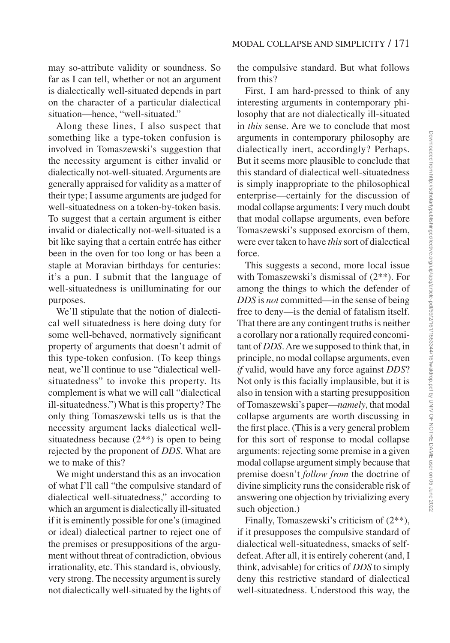may so-attribute validity or soundness. So far as I can tell, whether or not an argument is dialectically well-situated depends in part on the character of a particular dialectical situation—hence, "well-situated."

Along these lines, I also suspect that something like a type-token confusion is involved in Tomaszewski's suggestion that the necessity argument is either invalid or dialectically not-well-situated. Arguments are generally appraised for validity as a matter of their type; I assume arguments are judged for well-situatedness on a token-by-token basis. To suggest that a certain argument is either invalid or dialectically not-well-situated is a bit like saying that a certain entrée has either been in the oven for too long or has been a staple at Moravian birthdays for centuries: it's a pun. I submit that the language of well-situatedness is unilluminating for our purposes.

We'll stipulate that the notion of dialectical well situatedness is here doing duty for some well-behaved, normatively significant property of arguments that doesn't admit of this type-token confusion. (To keep things neat, we'll continue to use "dialectical wellsituatedness" to invoke this property. Its complement is what we will call "dialectical ill-situatedness.") What is this property? The only thing Tomaszewski tells us is that the necessity argument lacks dialectical wellsituatedness because  $(2^{**})$  is open to being rejected by the proponent of *DDS*. What are we to make of this?

We might understand this as an invocation of what I'll call "the compulsive standard of dialectical well-situatedness," according to which an argument is dialectically ill-situated if it is eminently possible for one's (imagined or ideal) dialectical partner to reject one of the premises or presuppositions of the argument without threat of contradiction, obvious irrationality, etc. This standard is, obviously, very strong. The necessity argument is surely not dialectically well-situated by the lights of the compulsive standard. But what follows from this?

First, I am hard-pressed to think of any interesting arguments in contemporary philosophy that are not dialectically ill-situated in *this* sense. Are we to conclude that most arguments in contemporary philosophy are dialectically inert, accordingly? Perhaps. But it seems more plausible to conclude that this standard of dialectical well-situatedness is simply inappropriate to the philosophical enterprise—certainly for the discussion of modal collapse arguments: I very much doubt that modal collapse arguments, even before Tomaszewski's supposed exorcism of them, were ever taken to have *this* sort of dialectical force.

This suggests a second, more local issue with Tomaszewski's dismissal of (2\*\*). For among the things to which the defender of *DDS* is *not* committed—in the sense of being free to deny—is the denial of fatalism itself. That there are any contingent truths is neither a corollary nor a rationally required concomitant of *DDS*. Are we supposed to think that, in principle, no modal collapse arguments, even *if* valid, would have any force against *DDS*? Not only is this facially implausible, but it is also in tension with a starting presupposition of Tomaszewski's paper—*namely*, that modal collapse arguments are worth discussing in the first place. (This is a very general problem for this sort of response to modal collapse arguments: rejecting some premise in a given modal collapse argument simply because that premise doesn't *follow from* the doctrine of divine simplicity runs the considerable risk of answering one objection by trivializing every such objection.)

Finally, Tomaszewski's criticism of (2\*\*), if it presupposes the compulsive standard of dialectical well-situatedness, smacks of selfdefeat. After all, it is entirely coherent (and, I think, advisable) for critics of *DDS* to simply deny this restrictive standard of dialectical well-situatedness. Understood this way, the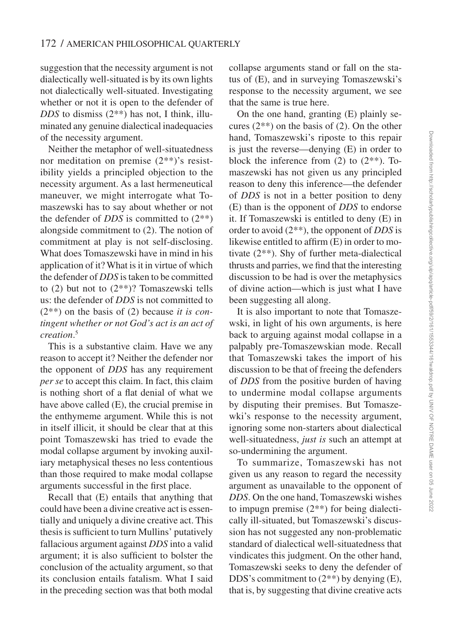suggestion that the necessity argument is not dialectically well-situated is by its own lights not dialectically well-situated. Investigating whether or not it is open to the defender of *DDS* to dismiss (2\*\*) has not, I think, illuminated any genuine dialectical inadequacies of the necessity argument.

Neither the metaphor of well-situatedness nor meditation on premise (2\*\*)'s resistibility yields a principled objection to the necessity argument. As a last hermeneutical maneuver, we might interrogate what Tomaszewski has to say about whether or not the defender of *DDS* is committed to (2\*\*) alongside commitment to (2). The notion of commitment at play is not self-disclosing. What does Tomaszewski have in mind in his application of it? What is it in virtue of which the defender of *DDS* is taken to be committed to  $(2)$  but not to  $(2^{**})$ ? Tomaszewski tells us: the defender of *DDS* is not committed to (2\*\*) on the basis of (2) because *it is contingent whether or not God's act is an act of creation*. 5

This is a substantive claim. Have we any reason to accept it? Neither the defender nor the opponent of *DDS* has any requirement *per se* to accept this claim. In fact, this claim is nothing short of a flat denial of what we have above called (E), the crucial premise in the enthymeme argument. While this is not in itself illicit, it should be clear that at this point Tomaszewski has tried to evade the modal collapse argument by invoking auxiliary metaphysical theses no less contentious than those required to make modal collapse arguments successful in the first place.

Recall that (E) entails that anything that could have been a divine creative act is essentially and uniquely a divine creative act. This thesis is sufficient to turn Mullins' putatively fallacious argument against *DDS* into a valid argument; it is also sufficient to bolster the conclusion of the actuality argument, so that its conclusion entails fatalism. What I said in the preceding section was that both modal

collapse arguments stand or fall on the status of (E), and in surveying Tomaszewski's response to the necessity argument, we see that the same is true here.

On the one hand, granting (E) plainly secures  $(2^{**})$  on the basis of  $(2)$ . On the other hand, Tomaszewski's riposte to this repair is just the reverse—denying (E) in order to block the inference from  $(2)$  to  $(2^{**})$ . Tomaszewski has not given us any principled reason to deny this inference—the defender of *DDS* is not in a better position to deny (E) than is the opponent of *DDS* to endorse it. If Tomaszewski is entitled to deny (E) in order to avoid (2\*\*), the opponent of *DDS* is likewise entitled to affirm (E) in order to motivate (2\*\*). Shy of further meta-dialectical thrusts and parries, we find that the interesting discussion to be had is over the metaphysics of divine action—which is just what I have been suggesting all along.

It is also important to note that Tomaszewski, in light of his own arguments, is here back to arguing against modal collapse in a palpably pre-Tomaszewskian mode. Recall that Tomaszewski takes the import of his discussion to be that of freeing the defenders of *DDS* from the positive burden of having to undermine modal collapse arguments by disputing their premises. But Tomaszewki's response to the necessity argument, ignoring some non-starters about dialectical well-situatedness, *just is* such an attempt at so-undermining the argument.

To summarize, Tomaszewski has not given us any reason to regard the necessity argument as unavailable to the opponent of *DDS*. On the one hand, Tomaszewski wishes to impugn premise (2\*\*) for being dialectically ill-situated, but Tomaszewski's discussion has not suggested any non-problematic standard of dialectical well-situatedness that vindicates this judgment. On the other hand, Tomaszewski seeks to deny the defender of DDS's commitment to  $(2^{**})$  by denying  $(E)$ , that is, by suggesting that divine creative acts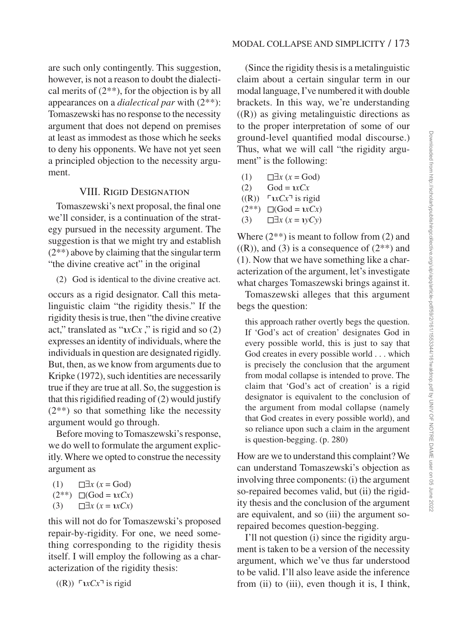are such only contingently. This suggestion, however, is not a reason to doubt the dialectical merits of  $(2^{**})$ , for the objection is by all appearances on a *dialectical par* with (2\*\*): Tomaszewski has no response to the necessity argument that does not depend on premises at least as immodest as those which he seeks to deny his opponents. We have not yet seen a principled objection to the necessity argument.

## VIII. Rigid Designation

Tomaszewski's next proposal, the final one we'll consider, is a continuation of the strategy pursued in the necessity argument. The suggestion is that we might try and establish (2\*\*) above by claiming that the singular term "the divine creative act" in the original

(2) God is identical to the divine creative act.

occurs as a rigid designator. Call this metalinguistic claim "the rigidity thesis." If the rigidity thesis is true, then "the divine creative act," translated as " $\alpha$ x $Cx$ ," is rigid and so (2) expresses an identity of individuals, where the individuals in question are designated rigidly. But, then, as we know from arguments due to Kripke (1972), such identities are necessarily true if they are true at all. So, the suggestion is that this rigidified reading of (2) would justify  $(2^{**})$  so that something like the necessity argument would go through.

Before moving to Tomaszewski's response, we do well to formulate the argument explicitly. Where we opted to construe the necessity argument as

(1)  $□∃x (x = God)$ 

$$
(2^{**})\quad \Box(\text{God}= \iota x C x)
$$

$$
(3) \qquad \Box \exists x \ (x = \mathbf{1} x C x)
$$

this will not do for Tomaszewski's proposed repair-by-rigidity. For one, we need something corresponding to the rigidity thesis itself. I will employ the following as a characterization of the rigidity thesis:

$$
((R))
$$
  $\ulcorner xCx \urcorner$  is rigid

(Since the rigidity thesis is a metalinguistic claim about a certain singular term in our modal language, I've numbered it with double brackets. In this way, we're understanding  $((R))$  as giving metalinguistic directions as to the proper interpretation of some of our ground-level quantified modal discourse.) Thus, what we will call "the rigidity argument" is the following:

- (1)  $□∃x (x = God)$
- $(2)$  God =  $\iota xCx$
- $((R))$   $\Gamma$ *xCx*<sup> $\top$ </sup> is rigid
- $(2<sup>**</sup>)$  □(God = *ιxCx*)
- (3) ◻∃*x* (*x* = ℩*yCy*)

Where  $(2^{**})$  is meant to follow from  $(2)$  and  $((R))$ , and (3) is a consequence of  $(2^{**})$  and (1). Now that we have something like a characterization of the argument, let's investigate what charges Tomaszewski brings against it.

Tomaszewski alleges that this argument begs the question:

this approach rather overtly begs the question. If 'God's act of creation' designates God in every possible world, this is just to say that God creates in every possible world . . . which is precisely the conclusion that the argument from modal collapse is intended to prove. The claim that 'God's act of creation' is a rigid designator is equivalent to the conclusion of the argument from modal collapse (namely that God creates in every possible world), and so reliance upon such a claim in the argument is question-begging. (p. 280)

How are we to understand this complaint? We can understand Tomaszewski's objection as involving three components: (i) the argument so-repaired becomes valid, but (ii) the rigidity thesis and the conclusion of the argument are equivalent, and so (iii) the argument sorepaired becomes question-begging.

I'll not question (i) since the rigidity argument is taken to be a version of the necessity argument, which we've thus far understood to be valid. I'll also leave aside the inference from (ii) to (iii), even though it is, I think,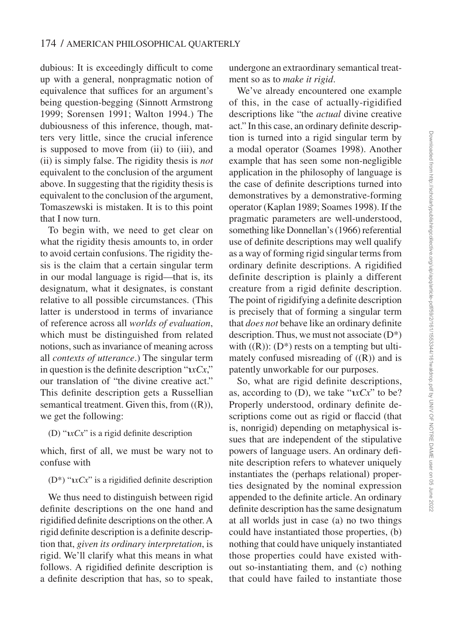dubious: It is exceedingly difficult to come up with a general, nonpragmatic notion of equivalence that suffices for an argument's being question-begging (Sinnott Armstrong 1999; Sorensen 1991; Walton 1994.) The dubiousness of this inference, though, matters very little, since the crucial inference is supposed to move from (ii) to (iii), and (ii) is simply false. The rigidity thesis is *not* equivalent to the conclusion of the argument above. In suggesting that the rigidity thesis is equivalent to the conclusion of the argument, Tomaszewski is mistaken. It is to this point that I now turn.

To begin with, we need to get clear on what the rigidity thesis amounts to, in order to avoid certain confusions. The rigidity thesis is the claim that a certain singular term in our modal language is rigid—that is, its designatum, what it designates, is constant relative to all possible circumstances. (This latter is understood in terms of invariance of reference across all *worlds of evaluation*, which must be distinguished from related notions, such as invariance of meaning across all *contexts of utterance*.) The singular term in question is the definite description "℩*xCx*," our translation of "the divine creative act." This definite description gets a Russellian semantical treatment. Given this, from  $((R))$ , we get the following:

(D) " $\iota xCx$ " is a rigid definite description

which, first of all, we must be wary not to confuse with

 $(D^*)$  " $\alpha$ *xCx*" is a rigidified definite description

We thus need to distinguish between rigid definite descriptions on the one hand and rigidified definite descriptions on the other. A rigid definite description is a definite description that, *given its ordinary interpretation*, is rigid. We'll clarify what this means in what follows. A rigidified definite description is a definite description that has, so to speak,

undergone an extraordinary semantical treatment so as to *make it rigid*.

We've already encountered one example of this, in the case of actually-rigidified descriptions like "the *actual* divine creative act." In this case, an ordinary definite description is turned into a rigid singular term by a modal operator (Soames 1998). Another example that has seen some non-negligible application in the philosophy of language is the case of definite descriptions turned into demonstratives by a demonstrative-forming operator (Kaplan 1989; Soames 1998). If the pragmatic parameters are well-understood, something like Donnellan's (1966) referential use of definite descriptions may well qualify as a way of forming rigid singular terms from ordinary definite descriptions. A rigidified definite description is plainly a different creature from a rigid definite description. The point of rigidifying a definite description is precisely that of forming a singular term that *does not* behave like an ordinary definite description. Thus, we must not associate  $(D^*)$ with  $((R))$ :  $(D^*)$  rests on a tempting but ultimately confused misreading of  $((R))$  and is patently unworkable for our purposes.

So, what are rigid definite descriptions, as, according to (D), we take "*xCx*" to be? Properly understood, ordinary definite descriptions come out as rigid or flaccid (that is, nonrigid) depending on metaphysical issues that are independent of the stipulative powers of language users. An ordinary definite description refers to whatever uniquely instantiates the (perhaps relational) properties designated by the nominal expression appended to the definite article. An ordinary definite description has the same designatum at all worlds just in case (a) no two things could have instantiated those properties, (b) nothing that could have uniquely instantiated those properties could have existed without so-instantiating them, and (c) nothing that could have failed to instantiate those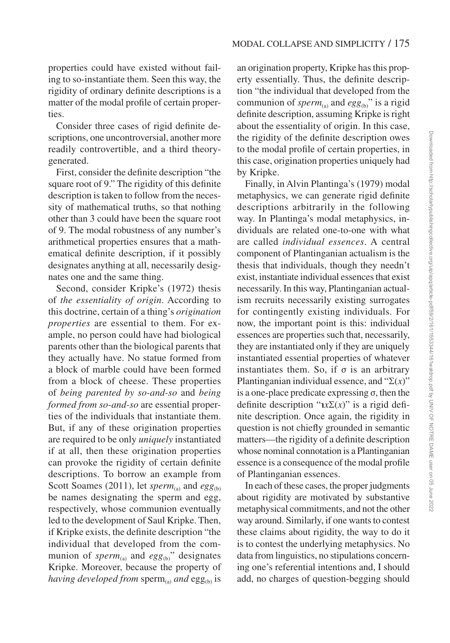properties could have existed without failing to so-instantiate them. Seen this way, the rigidity of ordinary definite descriptions is a matter of the modal profile of certain properties.

Consider three cases of rigid definite descriptions, one uncontroversial, another more readily controvertible, and a third theorygenerated.

First, consider the definite description "the square root of 9." The rigidity of this definite description is taken to follow from the necessity of mathematical truths, so that nothing other than 3 could have been the square root of 9. The modal robustness of any number's arithmetical properties ensures that a mathematical definite description, if it possibly designates anything at all, necessarily designates one and the same thing.

Second, consider Kripke's (1972) thesis of *the essentiality of origin*. According to this doctrine, certain of a thing's *origination properties* are essential to them. For example, no person could have had biological parents other than the biological parents that they actually have. No statue formed from a block of marble could have been formed from a block of cheese. These properties of *being parented by so-and-so* and *being formed from so-and-so* are essential properties of the individuals that instantiate them. But, if any of these origination properties are required to be only *uniquely* instantiated if at all, then these origination properties can provoke the rigidity of certain definite descriptions. To borrow an example from Scott Soames (2011), let *sperm*<sub>(a)</sub> and  $egg_{(b)}$ be names designating the sperm and egg, respectively, whose communion eventually led to the development of Saul Kripke. Then, if Kripke exists, the definite description "the individual that developed from the communion of *sperm*<sub>(a)</sub> and  $egg_{(b)}$ " designates Kripke. Moreover, because the property of *having developed from* sperm<sub>(a)</sub> *and* egg<sub>(b)</sub> is

an origination property, Kripke has this property essentially. Thus, the definite description "the individual that developed from the communion of  $sperm_{(a)}$  and  $egg_{(b)}$ " is a rigid definite description, assuming Kripke is right about the essentiality of origin. In this case, the rigidity of the definite description owes to the modal profile of certain properties, in this case, origination properties uniquely had by Kripke.

Finally, in Alvin Plantinga's (1979) modal metaphysics, we can generate rigid definite descriptions arbitrarily in the following way. In Plantinga's modal metaphysics, individuals are related one-to-one with what are called *individual essences*. A central component of Plantinganian actualism is the thesis that individuals, though they needn't exist, instantiate individual essences that exist necessarily. In this way, Plantinganian actualism recruits necessarily existing surrogates for contingently existing individuals. For now, the important point is this: individual essences are properties such that, necessarily, they are instantiated only if they are uniquely instantiated essential properties of whatever instantiates them. So, if  $\sigma$  is an arbitrary Plantinganian individual essence, and "Σ(*x*)" is a one-place predicate expressing σ, then the definite description " $\iota x \Sigma(x)$ " is a rigid definite description. Once again, the rigidity in question is not chiefly grounded in semantic matters—the rigidity of a definite description whose nominal connotation is a Plantinganian essence is a consequence of the modal profile of Plantinganian essences.

In each of these cases, the proper judgments about rigidity are motivated by substantive metaphysical commitments, and not the other way around. Similarly, if one wants to contest these claims about rigidity, the way to do it is to contest the underlying metaphysics. No data from linguistics, no stipulations concerning one's referential intentions and, I should add, no charges of question-begging should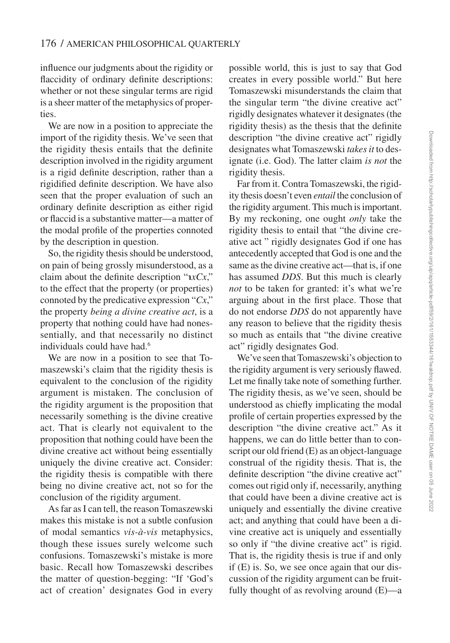influence our judgments about the rigidity or flaccidity of ordinary definite descriptions: whether or not these singular terms are rigid is a sheer matter of the metaphysics of properties.

We are now in a position to appreciate the import of the rigidity thesis. We've seen that the rigidity thesis entails that the definite description involved in the rigidity argument is a rigid definite description, rather than a rigidified definite description. We have also seen that the proper evaluation of such an ordinary definite description as either rigid or flaccid is a substantive matter—a matter of the modal profile of the properties connoted by the description in question.

So, the rigidity thesis should be understood, on pain of being grossly misunderstood, as a claim about the definite description "℩*xCx*," to the effect that the property (or properties) connoted by the predicative expression "*Cx*," the property *being a divine creative act*, is a property that nothing could have had nonessentially, and that necessarily no distinct individuals could have had.<sup>6</sup>

We are now in a position to see that Tomaszewski's claim that the rigidity thesis is equivalent to the conclusion of the rigidity argument is mistaken. The conclusion of the rigidity argument is the proposition that necessarily something is the divine creative act. That is clearly not equivalent to the proposition that nothing could have been the divine creative act without being essentially uniquely the divine creative act. Consider: the rigidity thesis is compatible with there being no divine creative act, not so for the conclusion of the rigidity argument.

As far as I can tell, the reason Tomaszewski makes this mistake is not a subtle confusion of modal semantics *vis-à-vis* metaphysics, though these issues surely welcome such confusions. Tomaszewski's mistake is more basic. Recall how Tomaszewski describes the matter of question-begging: "If 'God's act of creation' designates God in every

possible world, this is just to say that God creates in every possible world." But here Tomaszewski misunderstands the claim that the singular term "the divine creative act" rigidly designates whatever it designates (the rigidity thesis) as the thesis that the definite description "the divine creative act" rigidly designates what Tomaszewski *takes it* to designate (i.e. God). The latter claim *is not* the rigidity thesis.

Far from it. Contra Tomaszewski, the rigidity thesis doesn't even *entail* the conclusion of the rigidity argument. This much is important. By my reckoning, one ought *only* take the rigidity thesis to entail that "the divine creative act " rigidly designates God if one has antecedently accepted that God is one and the same as the divine creative act—that is, if one has assumed *DDS*. But this much is clearly *not* to be taken for granted: it's what we're arguing about in the first place. Those that do not endorse *DDS* do not apparently have any reason to believe that the rigidity thesis so much as entails that "the divine creative act" rigidly designates God.

We've seen that Tomaszewski's objection to the rigidity argument is very seriously flawed. Let me finally take note of something further. The rigidity thesis, as we've seen, should be understood as chiefly implicating the modal profile of certain properties expressed by the description "the divine creative act." As it happens, we can do little better than to conscript our old friend (E) as an object-language construal of the rigidity thesis. That is, the definite description "the divine creative act" comes out rigid only if, necessarily, anything that could have been a divine creative act is uniquely and essentially the divine creative act; and anything that could have been a divine creative act is uniquely and essentially so only if "the divine creative act" is rigid. That is, the rigidity thesis is true if and only if (E) is. So, we see once again that our discussion of the rigidity argument can be fruitfully thought of as revolving around (E)—a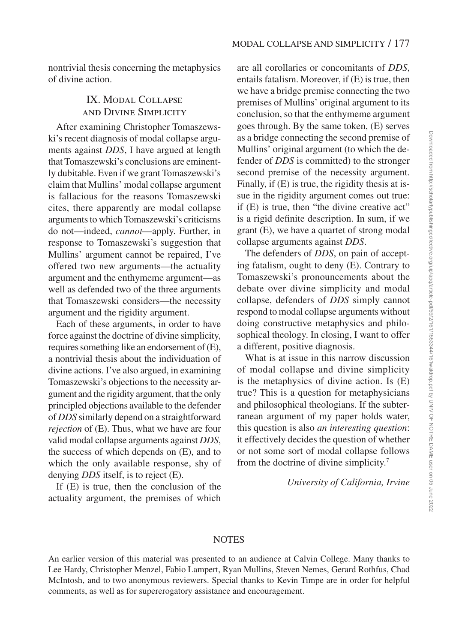nontrivial thesis concerning the metaphysics of divine action.

# IX. Modal Collapse and Divine Simplicity

After examining Christopher Tomaszewski's recent diagnosis of modal collapse arguments against *DDS*, I have argued at length that Tomaszewski's conclusions are eminently dubitable. Even if we grant Tomaszewski's claim that Mullins' modal collapse argument is fallacious for the reasons Tomaszewski cites, there apparently are modal collapse arguments to which Tomaszewski's criticisms do not—indeed, *cannot*—apply. Further, in response to Tomaszewski's suggestion that Mullins' argument cannot be repaired, I've offered two new arguments—the actuality argument and the enthymeme argument—as well as defended two of the three arguments that Tomaszewski considers—the necessity argument and the rigidity argument.

Each of these arguments, in order to have force against the doctrine of divine simplicity, requires something like an endorsement of (E), a nontrivial thesis about the individuation of divine actions. I've also argued, in examining Tomaszewski's objections to the necessity argument and the rigidity argument, that the only principled objections available to the defender of *DDS* similarly depend on a straightforward *rejection* of (E). Thus, what we have are four valid modal collapse arguments against *DDS*, the success of which depends on (E), and to which the only available response, shy of denying *DDS* itself, is to reject (E).

If (E) is true, then the conclusion of the actuality argument, the premises of which

are all corollaries or concomitants of *DDS*, entails fatalism. Moreover, if (E) is true, then we have a bridge premise connecting the two premises of Mullins' original argument to its conclusion, so that the enthymeme argument goes through. By the same token, (E) serves as a bridge connecting the second premise of Mullins' original argument (to which the defender of *DDS* is committed) to the stronger second premise of the necessity argument. Finally, if (E) is true, the rigidity thesis at issue in the rigidity argument comes out true: if (E) is true, then "the divine creative act" is a rigid definite description. In sum, if we grant (E), we have a quartet of strong modal collapse arguments against *DDS*.

The defenders of *DDS*, on pain of accepting fatalism, ought to deny (E). Contrary to Tomaszewski's pronouncements about the debate over divine simplicity and modal collapse, defenders of *DDS* simply cannot respond to modal collapse arguments without doing constructive metaphysics and philosophical theology. In closing, I want to offer a different, positive diagnosis.

What is at issue in this narrow discussion of modal collapse and divine simplicity is the metaphysics of divine action. Is (E) true? This is a question for metaphysicians and philosophical theologians. If the subterranean argument of my paper holds water, this question is also *an interesting question*: it effectively decides the question of whether or not some sort of modal collapse follows from the doctrine of divine simplicity.<sup>7</sup>

*University of California, Irvine*

#### **NOTES**

An earlier version of this material was presented to an audience at Calvin College. Many thanks to Lee Hardy, Christopher Menzel, Fabio Lampert, Ryan Mullins, Steven Nemes, Gerard Rothfus, Chad McIntosh, and to two anonymous reviewers. Special thanks to Kevin Timpe are in order for helpful comments, as well as for supererogatory assistance and encouragement.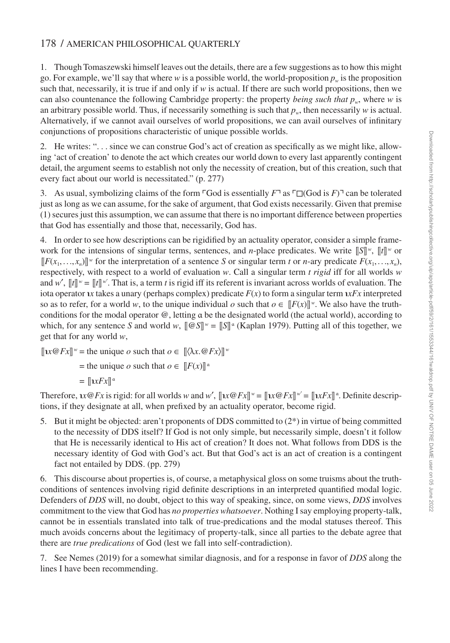#### 178 / AMERICAN PHILOSOPHICAL QUARTERLY

1. Though Tomaszewski himself leaves out the details, there are a few suggestions as to how this might go. For example, we'll say that where *w* is a possible world, the world-proposition  $p_w$  is the proposition such that, necessarily, it is true if and only if *w* is actual. If there are such world propositions, then we can also countenance the following Cambridge property: the property *being such that pw*, where *w* is an arbitrary possible world. Thus, if necessarily something is such that  $p_w$ , then necessarily *w* is actual. Alternatively, if we cannot avail ourselves of world propositions, we can avail ourselves of infinitary conjunctions of propositions characteristic of unique possible worlds.

2. He writes: ". . . since we can construe God's act of creation as specifically as we might like, allowing 'act of creation' to denote the act which creates our world down to every last apparently contingent detail, the argument seems to establish not only the necessity of creation, but of this creation, such that every fact about our world is necessitated." (p. 277)

3. As usual, symbolizing claims of the form ⌜God is essentially *F*⌝ as ⌜◻(God is *F*)⌝ can be tolerated just as long as we can assume, for the sake of argument, that God exists necessarily. Given that premise (1) secures just this assumption, we can assume that there is no important difference between properties that God has essentially and those that, necessarily, God has.

4. In order to see how descriptions can be rigidified by an actuality operator, consider a simple framework for the intensions of singular terms, sentences, and *n*-place predicates. We write  $\|S\|^w$ ,  $\|t\|^w$  or  $[[F(x_1,...,x_n)]]^w$  for the interpretation of a sentence *S* or singular term *t* or *n*-ary predicate  $F(x_1,...,x_n)$ , respectively, with respect to a world of evaluation *w*. Call a singular term *t rigid* iff for all worlds *w* and w',  $[[t]]^w = [[t]]^w$ . That is, a term *t* is rigid iff its referent is invariant across worlds of evaluation. The iota operator *xx* takes a unary (perhaps complex) predicate  $F(x)$  to form a singular term  $xFx$  interpreted so as to refer, for a world *w*, to the unique individual *o* such that  $o \in [[F(x)]]^w$ . We also have the truthconditions for the modal operator @, letting α be the designated world (the actual world), according to which, for any sentence *S* and world *w*,  $[\![\mathcal{Q}S]\!]^w = [\![S]\!]^{\alpha}$  (Kaplan 1979). Putting all of this together, we get that for any world *w*,

 $[\![\mathbf{r} \times \mathbf{r} \times \mathbf{r} \times \mathbf{r}] \cdot \mathbf{r}$  = the unique *o* such that  $o \in [\! [\langle \lambda x. \mathbf{r} \times \mathbf{r} \times \mathbf{r} \times \mathbf{r} \times \mathbf{r} \times \mathbf{r}] \cdot \mathbf{r}$ 

- $=$  the unique *o* such that  $o \in [F(x)]^{\alpha}$
- $=$   $\left[\left[nxFx\right]\right]^{\alpha}$

Therefore,  $\iota x \otimes Fx$  is rigid: for all worlds *w* and *w'*,  $[\![\iota x \otimes Fx]\!]^w = [\![\iota x \otimes Fx]\!]^w = [\![\iota x Fx]\!]^{\alpha}$ . Definite descriptions, if they designate at all, when prefixed by an actuality operator, become rigid.

5. But it might be objected: aren't proponents of DDS committed to (2\*) in virtue of being committed to the necessity of DDS itself? If God is not only simple, but necessarily simple, doesn't it follow that He is necessarily identical to His act of creation? It does not. What follows from DDS is the necessary identity of God with God's act. But that God's act is an act of creation is a contingent fact not entailed by DDS. (pp. 279)

6. This discourse about properties is, of course, a metaphysical gloss on some truisms about the truthconditions of sentences involving rigid definite descriptions in an interpreted quantified modal logic. Defenders of *DDS* will, no doubt, object to this way of speaking, since, on some views, *DDS* involves commitment to the view that God has *no properties whatsoever*. Nothing I say employing property-talk, cannot be in essentials translated into talk of true-predications and the modal statuses thereof. This much avoids concerns about the legitimacy of property-talk, since all parties to the debate agree that there are *true predications* of God (lest we fall into self-contradiction).

7. See Nemes (2019) for a somewhat similar diagnosis, and for a response in favor of *DDS* along the lines I have been recommending.